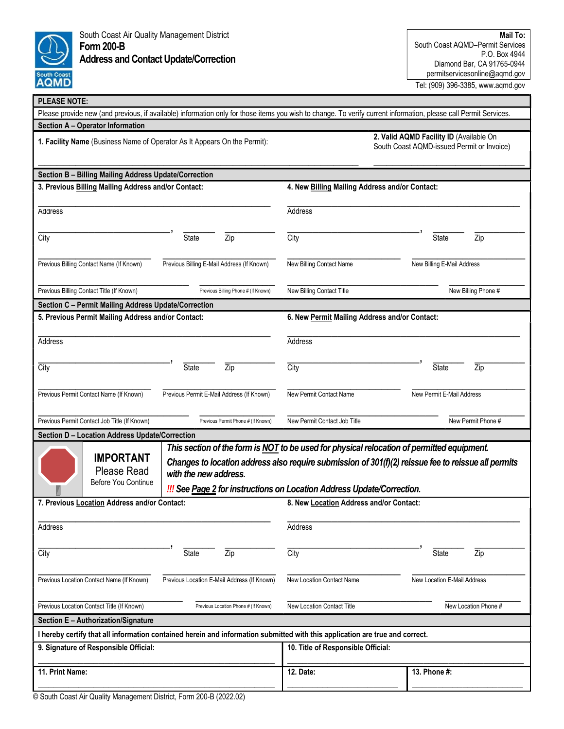

South Coast Air Quality Management District Form 200-B Address and Contact Update/Correction

| <b>PLEASE NOTE:</b>                                                                                                                                              |                                             |                                                                                                                                                                                                                                                                                    |                                  |
|------------------------------------------------------------------------------------------------------------------------------------------------------------------|---------------------------------------------|------------------------------------------------------------------------------------------------------------------------------------------------------------------------------------------------------------------------------------------------------------------------------------|----------------------------------|
| Please provide new (and previous, if available) information only for those items you wish to change. To verify current information, please call Permit Services. |                                             |                                                                                                                                                                                                                                                                                    |                                  |
| Section A - Operator Information                                                                                                                                 |                                             |                                                                                                                                                                                                                                                                                    |                                  |
| 1. Facility Name (Business Name of Operator As It Appears On the Permit):                                                                                        |                                             | 2. Valid AQMD Facility ID (Available On<br>South Coast AQMD-issued Permit or Invoice)                                                                                                                                                                                              |                                  |
| Section B - Billing Mailing Address Update/Correction                                                                                                            |                                             |                                                                                                                                                                                                                                                                                    |                                  |
| 3. Previous Billing Mailing Address and/or Contact:                                                                                                              |                                             | 4. New Billing Mailing Address and/or Contact:                                                                                                                                                                                                                                     |                                  |
| Address                                                                                                                                                          |                                             | Address                                                                                                                                                                                                                                                                            |                                  |
| City                                                                                                                                                             | <b>State</b><br>Zip                         | City                                                                                                                                                                                                                                                                               | State<br>Zip                     |
| Previous Billing Contact Name (If Known)                                                                                                                         | Previous Billing E-Mail Address (If Known)  | New Billing Contact Name                                                                                                                                                                                                                                                           | New Billing E-Mail Address       |
| Previous Billing Contact Title (If Known)                                                                                                                        | Previous Billing Phone # (If Known)         | New Billing Contact Title                                                                                                                                                                                                                                                          | New Billing Phone #              |
| Section C - Permit Mailing Address Update/Correction                                                                                                             |                                             |                                                                                                                                                                                                                                                                                    |                                  |
| 5. Previous Permit Mailing Address and/or Contact:                                                                                                               |                                             | 6. New Permit Mailing Address and/or Contact:                                                                                                                                                                                                                                      |                                  |
| Address                                                                                                                                                          |                                             | Address                                                                                                                                                                                                                                                                            |                                  |
| City                                                                                                                                                             | <b>State</b><br>$\overline{Zip}$            | City                                                                                                                                                                                                                                                                               | <b>State</b><br>$\overline{Zip}$ |
| Previous Permit Contact Name (If Known)                                                                                                                          | Previous Permit E-Mail Address (If Known)   | New Permit Contact Name                                                                                                                                                                                                                                                            | New Permit E-Mail Address        |
| Previous Permit Contact Job Title (If Known)                                                                                                                     | Previous Permit Phone # (If Known)          | New Permit Contact Job Title                                                                                                                                                                                                                                                       | New Permit Phone #               |
| Section D - Location Address Update/Correction                                                                                                                   |                                             |                                                                                                                                                                                                                                                                                    |                                  |
| <b>IMPORTANT</b><br><b>Please Read</b><br>Before You Continue                                                                                                    | with the new address.                       | This section of the form is NOT to be used for physical relocation of permitted equipment.<br>Changes to location address also require submission of 301(f)(2) reissue fee to reissue all permits<br><b>III</b> See Page 2 for instructions on Location Address Update/Correction. |                                  |
| 7. Previous Location Address and/or Contact:                                                                                                                     |                                             | 8. New Location Address and/or Contact:                                                                                                                                                                                                                                            |                                  |
| Address                                                                                                                                                          |                                             | Address                                                                                                                                                                                                                                                                            |                                  |
| City                                                                                                                                                             | State<br>Zip                                | City                                                                                                                                                                                                                                                                               | State<br>Zip                     |
| Previous Location Contact Name (If Known)                                                                                                                        | Previous Location E-Mail Address (If Known) | New Location Contact Name                                                                                                                                                                                                                                                          | New Location E-Mail Address      |
| Previous Location Contact Title (If Known)                                                                                                                       | Previous Location Phone # (If Known)        | New Location Contact Title                                                                                                                                                                                                                                                         | New Location Phone #             |
| Section E - Authorization/Signature                                                                                                                              |                                             |                                                                                                                                                                                                                                                                                    |                                  |
| I hereby certify that all information contained herein and information submitted with this application are true and correct.                                     |                                             |                                                                                                                                                                                                                                                                                    |                                  |
| 9. Signature of Responsible Official:                                                                                                                            |                                             | 10. Title of Responsible Official:                                                                                                                                                                                                                                                 |                                  |
| 11. Print Name:                                                                                                                                                  |                                             | 12. Date:                                                                                                                                                                                                                                                                          | 13. Phone #:                     |